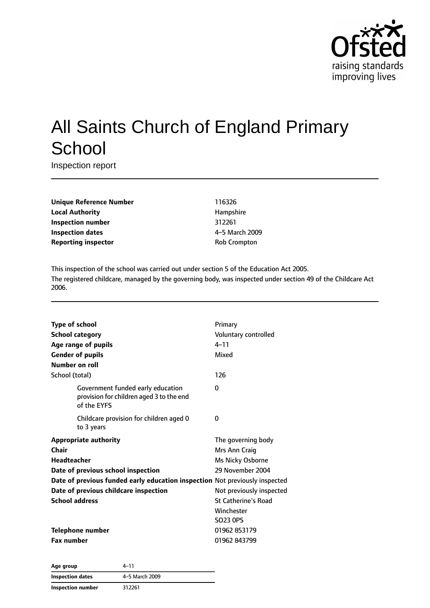

# All Saints Church of England Primary **School**

Inspection report

**Unique Reference Number** 116326 **Local Authority Hampshire Inspection number** 312261 **Inspection dates** 4–5 March 2009 **Reporting inspector COVID-COVID-COVID-COVID-COVID-COVID-COVID-COVID-COVID-COVID-COVID-COVID-COVID-COVID-COVID-COVID-COVID-COVID-COVID-COVID-COVID-COVID-COVID-COVID-COVID-COVID-COVID-COVID-COVID-COVID-COVID-COVID-COVID-C** 

This inspection of the school was carried out under section 5 of the Education Act 2005. The registered childcare, managed by the governing body, was inspected under section 49 of the Childcare Act 2006.

| Type of school<br><b>School category</b><br>Age range of pupils<br><b>Gender of pupils</b><br>Number on roll                                                                                                                                       | Primary<br>Voluntary controlled<br>$4 - 11$<br>Mixed                                                                                                            |
|----------------------------------------------------------------------------------------------------------------------------------------------------------------------------------------------------------------------------------------------------|-----------------------------------------------------------------------------------------------------------------------------------------------------------------|
| School (total)                                                                                                                                                                                                                                     | 126                                                                                                                                                             |
| Government funded early education<br>provision for children aged 3 to the end<br>of the EYFS                                                                                                                                                       | 0                                                                                                                                                               |
| Childcare provision for children aged 0<br>to 3 years                                                                                                                                                                                              | 0                                                                                                                                                               |
| <b>Appropriate authority</b><br>Chair<br><b>Headteacher</b><br>Date of previous school inspection<br>Date of previous funded early education inspection Not previously inspected<br>Date of previous childcare inspection<br><b>School address</b> | The governing body<br>Mrs Ann Craig<br>Ms Nicky Osborne<br>29 November 2004<br>Not previously inspected<br><b>St Catherine's Road</b><br>Winchester<br>SO23 0PS |
| <b>Telephone number</b><br><b>Fax number</b>                                                                                                                                                                                                       | 01962 853179<br>01962 843799                                                                                                                                    |
|                                                                                                                                                                                                                                                    |                                                                                                                                                                 |

| Age group         | 4–11           |
|-------------------|----------------|
| Inspection dates  | 4-5 March 2009 |
| Inspection number | 312261         |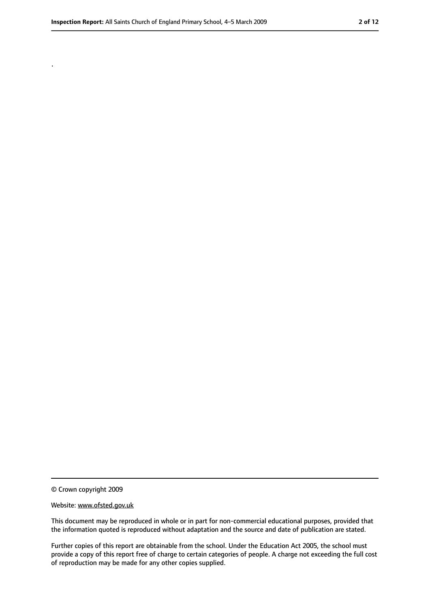.

<sup>©</sup> Crown copyright 2009

Website: www.ofsted.gov.uk

This document may be reproduced in whole or in part for non-commercial educational purposes, provided that the information quoted is reproduced without adaptation and the source and date of publication are stated.

Further copies of this report are obtainable from the school. Under the Education Act 2005, the school must provide a copy of this report free of charge to certain categories of people. A charge not exceeding the full cost of reproduction may be made for any other copies supplied.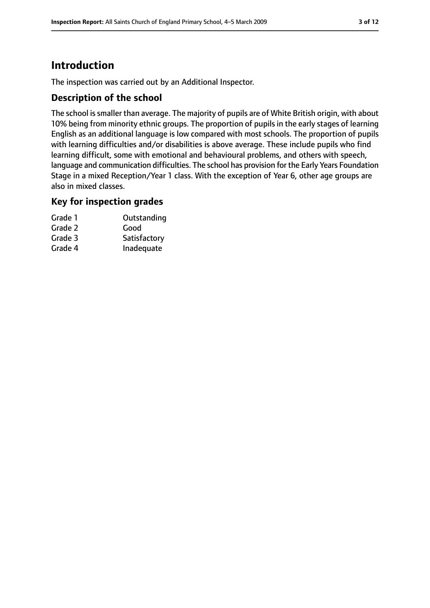# **Introduction**

The inspection was carried out by an Additional Inspector.

## **Description of the school**

The school issmaller than average. The majority of pupils are of White British origin, with about 10% being from minority ethnic groups. The proportion of pupils in the early stages of learning English as an additional language is low compared with most schools. The proportion of pupils with learning difficulties and/or disabilities is above average. These include pupils who find learning difficult, some with emotional and behavioural problems, and others with speech, language and communication difficulties. The school has provision for the Early Years Foundation Stage in a mixed Reception/Year 1 class. With the exception of Year 6, other age groups are also in mixed classes.

#### **Key for inspection grades**

| Grade 1 | Outstanding  |
|---------|--------------|
| Grade 2 | Good         |
| Grade 3 | Satisfactory |
| Grade 4 | Inadequate   |
|         |              |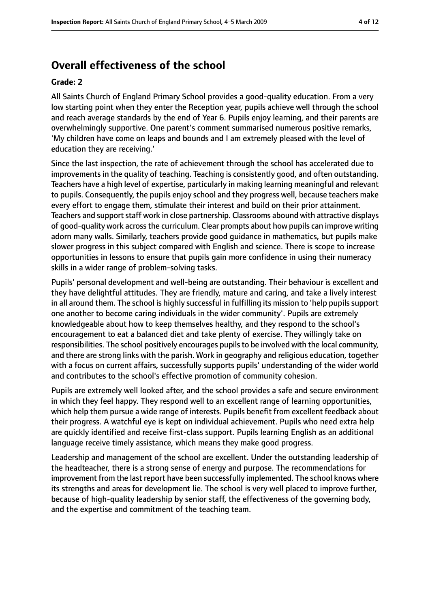# **Overall effectiveness of the school**

#### **Grade: 2**

All Saints Church of England Primary School provides a good-quality education. From a very low starting point when they enter the Reception year, pupils achieve well through the school and reach average standards by the end of Year 6. Pupils enjoy learning, and their parents are overwhelmingly supportive. One parent's comment summarised numerous positive remarks, 'My children have come on leaps and bounds and I am extremely pleased with the level of education they are receiving.'

Since the last inspection, the rate of achievement through the school has accelerated due to improvements in the quality of teaching. Teaching is consistently good, and often outstanding. Teachers have a high level of expertise, particularly in making learning meaningful and relevant to pupils. Consequently, the pupils enjoy school and they progress well, because teachers make every effort to engage them, stimulate their interest and build on their prior attainment. Teachers and support staff work in close partnership. Classrooms abound with attractive displays of good-quality work acrossthe curriculum. Clear prompts about how pupils can improve writing adorn many walls. Similarly, teachers provide good guidance in mathematics, but pupils make slower progress in this subject compared with English and science. There is scope to increase opportunities in lessons to ensure that pupils gain more confidence in using their numeracy skills in a wider range of problem-solving tasks.

Pupils' personal development and well-being are outstanding. Their behaviour is excellent and they have delightful attitudes. They are friendly, mature and caring, and take a lively interest in all around them. The school is highly successful in fulfilling its mission to 'help pupils support one another to become caring individuals in the wider community'. Pupils are extremely knowledgeable about how to keep themselves healthy, and they respond to the school's encouragement to eat a balanced diet and take plenty of exercise. They willingly take on responsibilities. The school positively encourages pupils to be involved with the local community, and there are strong links with the parish. Work in geography and religious education, together with a focus on current affairs, successfully supports pupils' understanding of the wider world and contributes to the school's effective promotion of community cohesion.

Pupils are extremely well looked after, and the school provides a safe and secure environment in which they feel happy. They respond well to an excellent range of learning opportunities, which help them pursue a wide range of interests. Pupils benefit from excellent feedback about their progress. A watchful eye is kept on individual achievement. Pupils who need extra help are quickly identified and receive first-class support. Pupils learning English as an additional language receive timely assistance, which means they make good progress.

Leadership and management of the school are excellent. Under the outstanding leadership of the headteacher, there is a strong sense of energy and purpose. The recommendations for improvement from the last report have been successfully implemented. The school knows where its strengths and areas for development lie. The school is very well placed to improve further, because of high-quality leadership by senior staff, the effectiveness of the governing body, and the expertise and commitment of the teaching team.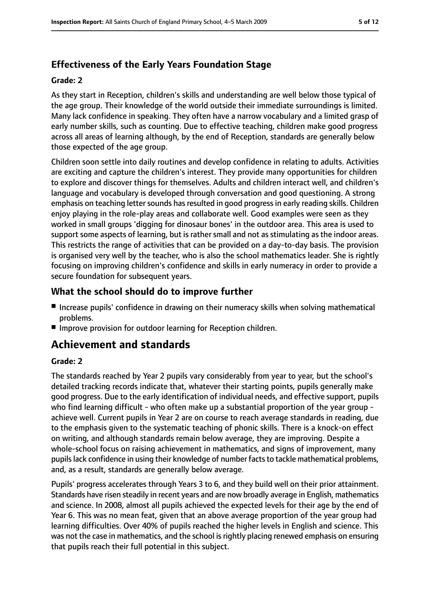# **Effectiveness of the Early Years Foundation Stage**

### **Grade: 2**

As they start in Reception, children's skills and understanding are well below those typical of the age group. Their knowledge of the world outside their immediate surroundings is limited. Many lack confidence in speaking. They often have a narrow vocabulary and a limited grasp of early number skills, such as counting. Due to effective teaching, children make good progress across all areas of learning although, by the end of Reception, standards are generally below those expected of the age group.

Children soon settle into daily routines and develop confidence in relating to adults. Activities are exciting and capture the children's interest. They provide many opportunities for children to explore and discover things for themselves. Adults and children interact well, and children's language and vocabulary is developed through conversation and good questioning. A strong emphasis on teaching letter sounds has resulted in good progress in early reading skills. Children enjoy playing in the role-play areas and collaborate well. Good examples were seen as they worked in small groups 'digging for dinosaur bones' in the outdoor area. This area is used to support some aspects of learning, but is rather small and not as stimulating as the indoor areas. This restricts the range of activities that can be provided on a day-to-day basis. The provision is organised very well by the teacher, who is also the school mathematics leader. She is rightly focusing on improving children's confidence and skills in early numeracy in order to provide a secure foundation for subsequent years.

## **What the school should do to improve further**

- Increase pupils' confidence in drawing on their numeracy skills when solving mathematical problems.
- Improve provision for outdoor learning for Reception children.

# **Achievement and standards**

#### **Grade: 2**

The standards reached by Year 2 pupils vary considerably from year to year, but the school's detailed tracking records indicate that, whatever their starting points, pupils generally make good progress. Due to the early identification of individual needs, and effective support, pupils who find learning difficult - who often make up a substantial proportion of the year group achieve well. Current pupils in Year 2 are on course to reach average standards in reading, due to the emphasis given to the systematic teaching of phonic skills. There is a knock-on effect on writing, and although standards remain below average, they are improving. Despite a whole-school focus on raising achievement in mathematics, and signs of improvement, many pupils lack confidence in using their knowledge of number facts to tackle mathematical problems, and, as a result, standards are generally below average.

Pupils' progress accelerates through Years 3 to 6, and they build well on their prior attainment. Standards have risen steadily in recent years and are now broadly average in English, mathematics and science. In 2008, almost all pupils achieved the expected levels for their age by the end of Year 6. This was no mean feat, given that an above average proportion of the year group had learning difficulties. Over 40% of pupils reached the higher levels in English and science. This was not the case in mathematics, and the school is rightly placing renewed emphasis on ensuring that pupils reach their full potential in this subject.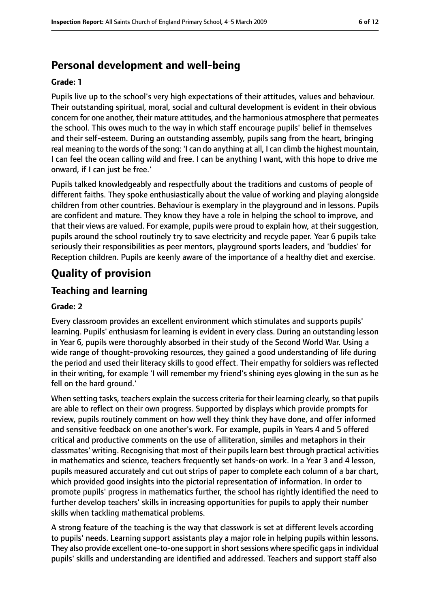# **Personal development and well-being**

#### **Grade: 1**

Pupils live up to the school's very high expectations of their attitudes, values and behaviour. Their outstanding spiritual, moral, social and cultural development is evident in their obvious concern for one another, their mature attitudes, and the harmonious atmosphere that permeates the school. This owes much to the way in which staff encourage pupils' belief in themselves and their self-esteem. During an outstanding assembly, pupils sang from the heart, bringing real meaning to the words of the song: 'I can do anything at all, I can climb the highest mountain, I can feel the ocean calling wild and free. I can be anything I want, with this hope to drive me onward, if I can just be free.'

Pupils talked knowledgeably and respectfully about the traditions and customs of people of different faiths. They spoke enthusiastically about the value of working and playing alongside children from other countries. Behaviour is exemplary in the playground and in lessons. Pupils are confident and mature. They know they have a role in helping the school to improve, and that their views are valued. For example, pupils were proud to explain how, at their suggestion, pupils around the school routinely try to save electricity and recycle paper. Year 6 pupils take seriously their responsibilities as peer mentors, playground sports leaders, and 'buddies' for Reception children. Pupils are keenly aware of the importance of a healthy diet and exercise.

# **Quality of provision**

## **Teaching and learning**

#### **Grade: 2**

Every classroom provides an excellent environment which stimulates and supports pupils' learning. Pupils' enthusiasm for learning is evident in every class. During an outstanding lesson in Year 6, pupils were thoroughly absorbed in their study of the Second World War. Using a wide range of thought-provoking resources, they gained a good understanding of life during the period and used their literacy skills to good effect. Their empathy for soldiers was reflected in their writing, for example 'I will remember my friend's shining eyes glowing in the sun as he fell on the hard ground.'

When setting tasks, teachers explain the success criteria for their learning clearly, so that pupils are able to reflect on their own progress. Supported by displays which provide prompts for review, pupils routinely comment on how well they think they have done, and offer informed and sensitive feedback on one another's work. For example, pupils in Years 4 and 5 offered critical and productive comments on the use of alliteration, similes and metaphors in their classmates' writing. Recognising that most of their pupils learn best through practical activities in mathematics and science, teachers frequently set hands-on work. In a Year 3 and 4 lesson, pupils measured accurately and cut out strips of paper to complete each column of a bar chart, which provided good insights into the pictorial representation of information. In order to promote pupils' progress in mathematics further, the school has rightly identified the need to further develop teachers' skills in increasing opportunities for pupils to apply their number skills when tackling mathematical problems.

A strong feature of the teaching is the way that classwork is set at different levels according to pupils' needs. Learning support assistants play a major role in helping pupils within lessons. They also provide excellent one-to-one support in short sessions where specific gaps in individual pupils' skills and understanding are identified and addressed. Teachers and support staff also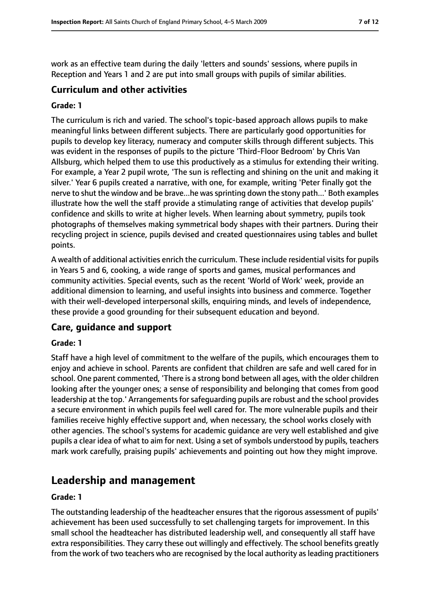work as an effective team during the daily 'letters and sounds' sessions, where pupils in Reception and Years 1 and 2 are put into small groups with pupils of similar abilities.

## **Curriculum and other activities**

#### **Grade: 1**

The curriculum is rich and varied. The school's topic-based approach allows pupils to make meaningful links between different subjects. There are particularly good opportunities for pupils to develop key literacy, numeracy and computer skills through different subjects. This was evident in the responses of pupils to the picture 'Third-Floor Bedroom' by Chris Van Allsburg, which helped them to use this productively as a stimulus for extending their writing. For example, a Year 2 pupil wrote, 'The sun is reflecting and shining on the unit and making it silver.' Year 6 pupils created a narrative, with one, for example, writing 'Peter finally got the nerve to shut the window and be brave...he was sprinting down the stony path...' Both examples illustrate how the well the staff provide a stimulating range of activities that develop pupils' confidence and skills to write at higher levels. When learning about symmetry, pupils took photographs of themselves making symmetrical body shapes with their partners. During their recycling project in science, pupils devised and created questionnaires using tables and bullet points.

A wealth of additional activities enrich the curriculum. These include residential visits for pupils in Years 5 and 6, cooking, a wide range of sports and games, musical performances and community activities. Special events, such as the recent 'World of Work' week, provide an additional dimension to learning, and useful insights into business and commerce. Together with their well-developed interpersonal skills, enquiring minds, and levels of independence, these provide a good grounding for their subsequent education and beyond.

## **Care, guidance and support**

#### **Grade: 1**

Staff have a high level of commitment to the welfare of the pupils, which encourages them to enjoy and achieve in school. Parents are confident that children are safe and well cared for in school. One parent commented, 'There is a strong bond between all ages, with the older children looking after the younger ones; a sense of responsibility and belonging that comes from good leadership at the top.' Arrangements for safeguarding pupils are robust and the school provides a secure environment in which pupils feel well cared for. The more vulnerable pupils and their families receive highly effective support and, when necessary, the school works closely with other agencies. The school's systems for academic guidance are very well established and give pupils a clear idea of what to aim for next. Using a set of symbols understood by pupils, teachers mark work carefully, praising pupils' achievements and pointing out how they might improve.

# **Leadership and management**

#### **Grade: 1**

The outstanding leadership of the headteacher ensures that the rigorous assessment of pupils' achievement has been used successfully to set challenging targets for improvement. In this small school the headteacher has distributed leadership well, and consequently all staff have extra responsibilities. They carry these out willingly and effectively. The school benefits greatly from the work of two teachers who are recognised by the local authority as leading practitioners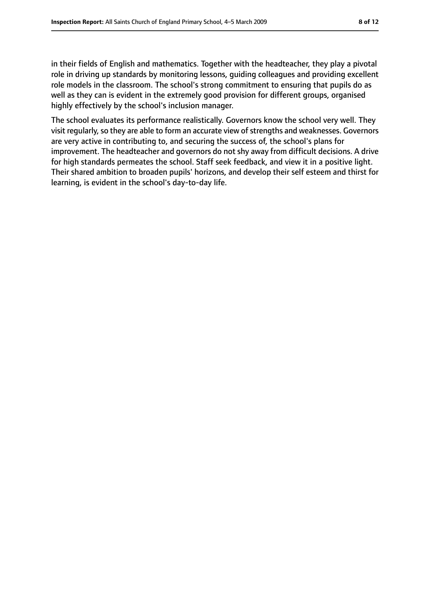in their fields of English and mathematics. Together with the headteacher, they play a pivotal role in driving up standards by monitoring lessons, guiding colleagues and providing excellent role models in the classroom. The school's strong commitment to ensuring that pupils do as well as they can is evident in the extremely good provision for different groups, organised highly effectively by the school's inclusion manager.

The school evaluates its performance realistically. Governors know the school very well. They visit regularly, so they are able to form an accurate view of strengths and weaknesses. Governors are very active in contributing to, and securing the success of, the school's plans for improvement. The headteacher and governors do not shy away from difficult decisions. A drive for high standards permeates the school. Staff seek feedback, and view it in a positive light. Their shared ambition to broaden pupils' horizons, and develop their self esteem and thirst for learning, is evident in the school's day-to-day life.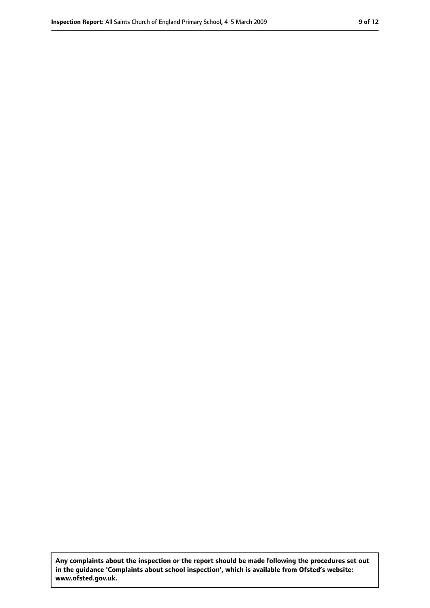**Any complaints about the inspection or the report should be made following the procedures set out in the guidance 'Complaints about school inspection', which is available from Ofsted's website: www.ofsted.gov.uk.**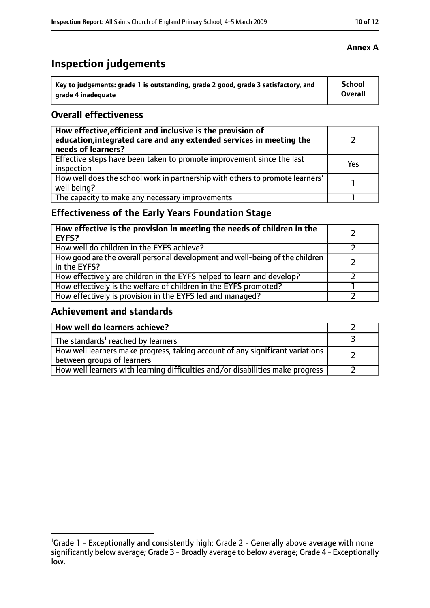# **Inspection judgements**

| Key to judgements: grade 1 is outstanding, grade 2 good, grade 3 satisfactory, and | <b>School</b>  |
|------------------------------------------------------------------------------------|----------------|
| arade 4 inadequate                                                                 | <b>Overall</b> |

## **Overall effectiveness**

| How effective, efficient and inclusive is the provision of<br>education, integrated care and any extended services in meeting the<br>needs of learners? |     |
|---------------------------------------------------------------------------------------------------------------------------------------------------------|-----|
| Effective steps have been taken to promote improvement since the last<br>inspection                                                                     | Yes |
| How well does the school work in partnership with others to promote learners'<br>well being?                                                            |     |
| The capacity to make any necessary improvements                                                                                                         |     |

# **Effectiveness of the Early Years Foundation Stage**

| How effective is the provision in meeting the needs of children in the<br><b>EYFS?</b>       |  |
|----------------------------------------------------------------------------------------------|--|
| How well do children in the EYFS achieve?                                                    |  |
| How good are the overall personal development and well-being of the children<br>in the EYFS? |  |
| How effectively are children in the EYFS helped to learn and develop?                        |  |
| How effectively is the welfare of children in the EYFS promoted?                             |  |
| How effectively is provision in the EYFS led and managed?                                    |  |

## **Achievement and standards**

| How well do learners achieve?                                                                               |  |
|-------------------------------------------------------------------------------------------------------------|--|
| The standards <sup>1</sup> reached by learners                                                              |  |
| How well learners make progress, taking account of any significant variations<br>between groups of learners |  |
| How well learners with learning difficulties and/or disabilities make progress                              |  |

## **Annex A**

<sup>&</sup>lt;sup>1</sup>Grade 1 - Exceptionally and consistently high; Grade 2 - Generally above average with none

significantly below average; Grade 3 - Broadly average to below average; Grade 4 - Exceptionally low.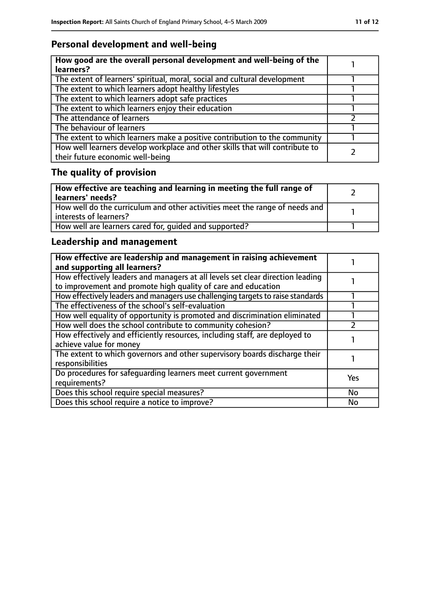# **Personal development and well-being**

| How good are the overall personal development and well-being of the<br>learners?                                 |  |
|------------------------------------------------------------------------------------------------------------------|--|
| The extent of learners' spiritual, moral, social and cultural development                                        |  |
| The extent to which learners adopt healthy lifestyles                                                            |  |
| The extent to which learners adopt safe practices                                                                |  |
| The extent to which learners enjoy their education                                                               |  |
| The attendance of learners                                                                                       |  |
| The behaviour of learners                                                                                        |  |
| The extent to which learners make a positive contribution to the community                                       |  |
| How well learners develop workplace and other skills that will contribute to<br>their future economic well-being |  |

# **The quality of provision**

| How effective are teaching and learning in meeting the full range of<br>learners' needs?              |  |
|-------------------------------------------------------------------------------------------------------|--|
| How well do the curriculum and other activities meet the range of needs and<br>interests of learners? |  |
| How well are learners cared for, quided and supported?                                                |  |

# **Leadership and management**

| How effective are leadership and management in raising achievement<br>and supporting all learners?                                              |            |
|-------------------------------------------------------------------------------------------------------------------------------------------------|------------|
| How effectively leaders and managers at all levels set clear direction leading<br>to improvement and promote high quality of care and education |            |
| How effectively leaders and managers use challenging targets to raise standards                                                                 |            |
| The effectiveness of the school's self-evaluation                                                                                               |            |
| How well equality of opportunity is promoted and discrimination eliminated                                                                      |            |
| How well does the school contribute to community cohesion?                                                                                      |            |
| How effectively and efficiently resources, including staff, are deployed to<br>achieve value for money                                          |            |
| The extent to which governors and other supervisory boards discharge their<br>responsibilities                                                  |            |
| Do procedures for safequarding learners meet current government<br>requirements?                                                                | <b>Yes</b> |
| Does this school require special measures?                                                                                                      | <b>No</b>  |
| Does this school require a notice to improve?                                                                                                   | No         |